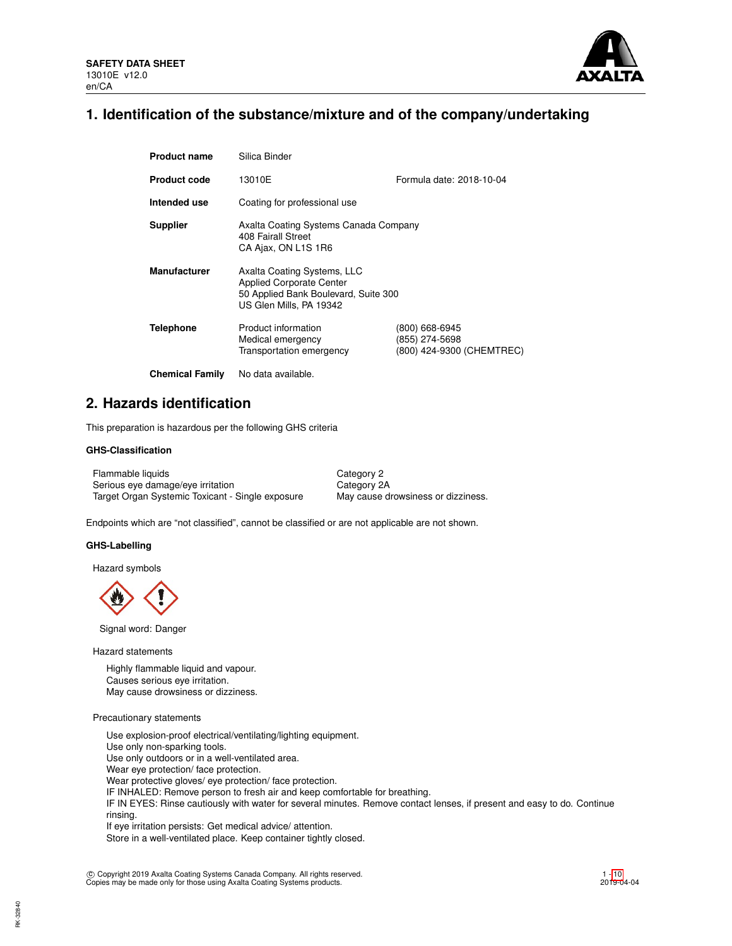

## **1. Identification of the substance/mixture and of the company/undertaking**

| <b>Product name</b>    | Silica Binder                                                                                                                     |                                                               |  |  |  |
|------------------------|-----------------------------------------------------------------------------------------------------------------------------------|---------------------------------------------------------------|--|--|--|
| <b>Product code</b>    | Formula date: 2018-10-04<br>13010E                                                                                                |                                                               |  |  |  |
| Intended use           | Coating for professional use                                                                                                      |                                                               |  |  |  |
| <b>Supplier</b>        | Axalta Coating Systems Canada Company<br>408 Fairall Street<br>CA Ajax, ON L1S 1R6                                                |                                                               |  |  |  |
| <b>Manufacturer</b>    | Axalta Coating Systems, LLC<br><b>Applied Corporate Center</b><br>50 Applied Bank Boulevard, Suite 300<br>US Glen Mills, PA 19342 |                                                               |  |  |  |
| <b>Telephone</b>       | Product information<br>Medical emergency<br>Transportation emergency                                                              | (800) 668-6945<br>(855) 274-5698<br>(800) 424-9300 (CHEMTREC) |  |  |  |
| <b>Chemical Family</b> | No data available.                                                                                                                |                                                               |  |  |  |

## **2. Hazards identification**

This preparation is hazardous per the following GHS criteria

## **GHS-Classification**

Flammable liquids Category 2 Serious eye damage/eye irritation Category 2A Target Organ Systemic Toxicant - Single exposure May cause drowsiness or dizziness.

Endpoints which are "not classified", cannot be classified or are not applicable are not shown.

### **GHS-Labelling**

Hazard symbols

Signal word: Danger

Hazard statements

Highly flammable liquid and vapour. Causes serious eye irritation. May cause drowsiness or dizziness.

### Precautionary statements

Use explosion-proof electrical/ventilating/lighting equipment. Use only non-sparking tools. Use only outdoors or in a well-ventilated area. Wear eye protection/ face protection. Wear protective gloves/ eye protection/ face protection. IF INHALED: Remove person to fresh air and keep comfortable for breathing. IF IN EYES: Rinse cautiously with water for several minutes. Remove contact lenses, if present and easy to do. Continue rinsing. If eye irritation persists: Get medical advice/ attention.

Store in a well-ventilated place. Keep container tightly closed.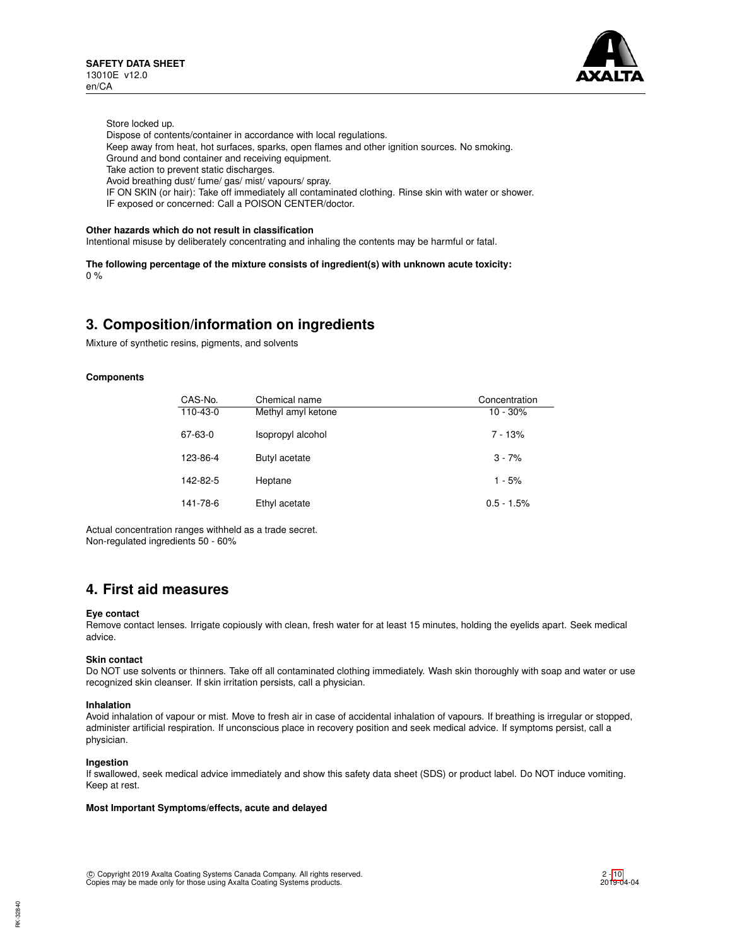

Store locked up.

- Dispose of contents/container in accordance with local regulations.
- Keep away from heat, hot surfaces, sparks, open flames and other ignition sources. No smoking.
- Ground and bond container and receiving equipment.
- Take action to prevent static discharges.
- Avoid breathing dust/ fume/ gas/ mist/ vapours/ spray.
- IF ON SKIN (or hair): Take off immediately all contaminated clothing. Rinse skin with water or shower.
- IF exposed or concerned: Call a POISON CENTER/doctor.

## **Other hazards which do not result in classification**

Intentional misuse by deliberately concentrating and inhaling the contents may be harmful or fatal.

**The following percentage of the mixture consists of ingredient(s) with unknown acute toxicity:**  $0%$ 

## **3. Composition/information on ingredients**

Mixture of synthetic resins, pigments, and solvents

### **Components**

| CAS-No.  | Chemical name      | Concentration |
|----------|--------------------|---------------|
| 110-43-0 | Methyl amyl ketone | $10 - 30\%$   |
| 67-63-0  | Isopropyl alcohol  | $7 - 13%$     |
| 123-86-4 | Butyl acetate      | $3 - 7%$      |
| 142-82-5 | Heptane            | $1 - 5%$      |
| 141-78-6 | Ethyl acetate      | $0.5 - 1.5%$  |

Actual concentration ranges withheld as a trade secret. Non-regulated ingredients 50 - 60%

## **4. First aid measures**

### **Eye contact**

Remove contact lenses. Irrigate copiously with clean, fresh water for at least 15 minutes, holding the eyelids apart. Seek medical advice.

### **Skin contact**

Do NOT use solvents or thinners. Take off all contaminated clothing immediately. Wash skin thoroughly with soap and water or use recognized skin cleanser. If skin irritation persists, call a physician.

#### **Inhalation**

Avoid inhalation of vapour or mist. Move to fresh air in case of accidental inhalation of vapours. If breathing is irregular or stopped, administer artificial respiration. If unconscious place in recovery position and seek medical advice. If symptoms persist, call a physician.

#### **Ingestion**

If swallowed, seek medical advice immediately and show this safety data sheet (SDS) or product label. Do NOT induce vomiting. Keep at rest.

## **Most Important Symptoms/effects, acute and delayed**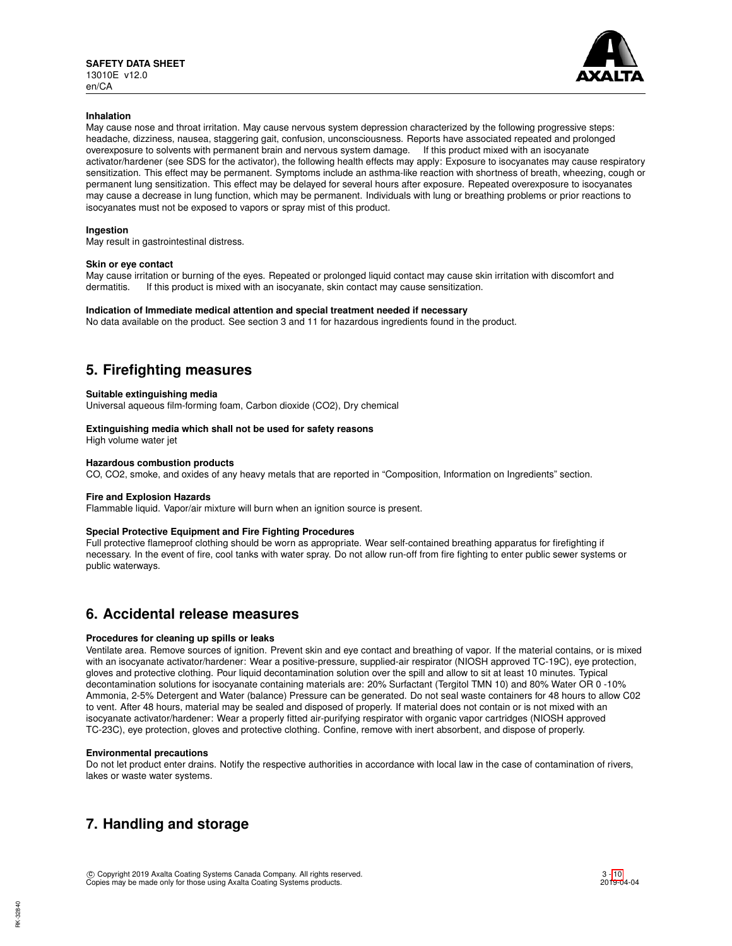

## **Inhalation**

May cause nose and throat irritation. May cause nervous system depression characterized by the following progressive steps: headache, dizziness, nausea, staggering gait, confusion, unconsciousness. Reports have associated repeated and prolonged overexposure to solvents with permanent brain and nervous system damage. If this product mixed with an isocyanate activator/hardener (see SDS for the activator), the following health effects may apply: Exposure to isocyanates may cause respiratory sensitization. This effect may be permanent. Symptoms include an asthma-like reaction with shortness of breath, wheezing, cough or permanent lung sensitization. This effect may be delayed for several hours after exposure. Repeated overexposure to isocyanates may cause a decrease in lung function, which may be permanent. Individuals with lung or breathing problems or prior reactions to isocyanates must not be exposed to vapors or spray mist of this product.

## **Ingestion**

May result in gastrointestinal distress.

## **Skin or eye contact**

May cause irritation or burning of the eyes. Repeated or prolonged liquid contact may cause skin irritation with discomfort and dermatitis If this product is mixed with an isocvanate skin contact may cause sensitization If this product is mixed with an isocyanate, skin contact may cause sensitization.

### **Indication of Immediate medical attention and special treatment needed if necessary**

No data available on the product. See section 3 and 11 for hazardous ingredients found in the product.

## **5. Firefighting measures**

## **Suitable extinguishing media**

Universal aqueous film-forming foam, Carbon dioxide (CO2), Dry chemical

## **Extinguishing media which shall not be used for safety reasons**

High volume water jet

## **Hazardous combustion products**

CO, CO2, smoke, and oxides of any heavy metals that are reported in "Composition, Information on Ingredients" section.

### **Fire and Explosion Hazards**

Flammable liquid. Vapor/air mixture will burn when an ignition source is present.

## **Special Protective Equipment and Fire Fighting Procedures**

Full protective flameproof clothing should be worn as appropriate. Wear self-contained breathing apparatus for firefighting if necessary. In the event of fire, cool tanks with water spray. Do not allow run-off from fire fighting to enter public sewer systems or public waterways.

## **6. Accidental release measures**

## **Procedures for cleaning up spills or leaks**

Ventilate area. Remove sources of ignition. Prevent skin and eye contact and breathing of vapor. If the material contains, or is mixed with an isocyanate activator/hardener: Wear a positive-pressure, supplied-air respirator (NIOSH approved TC-19C), eye protection, gloves and protective clothing. Pour liquid decontamination solution over the spill and allow to sit at least 10 minutes. Typical decontamination solutions for isocyanate containing materials are: 20% Surfactant (Tergitol TMN 10) and 80% Water OR 0 -10% Ammonia, 2-5% Detergent and Water (balance) Pressure can be generated. Do not seal waste containers for 48 hours to allow C02 to vent. After 48 hours, material may be sealed and disposed of properly. If material does not contain or is not mixed with an isocyanate activator/hardener: Wear a properly fitted air-purifying respirator with organic vapor cartridges (NIOSH approved TC-23C), eye protection, gloves and protective clothing. Confine, remove with inert absorbent, and dispose of properly.

### **Environmental precautions**

Do not let product enter drains. Notify the respective authorities in accordance with local law in the case of contamination of rivers, lakes or waste water systems.

## **7. Handling and storage**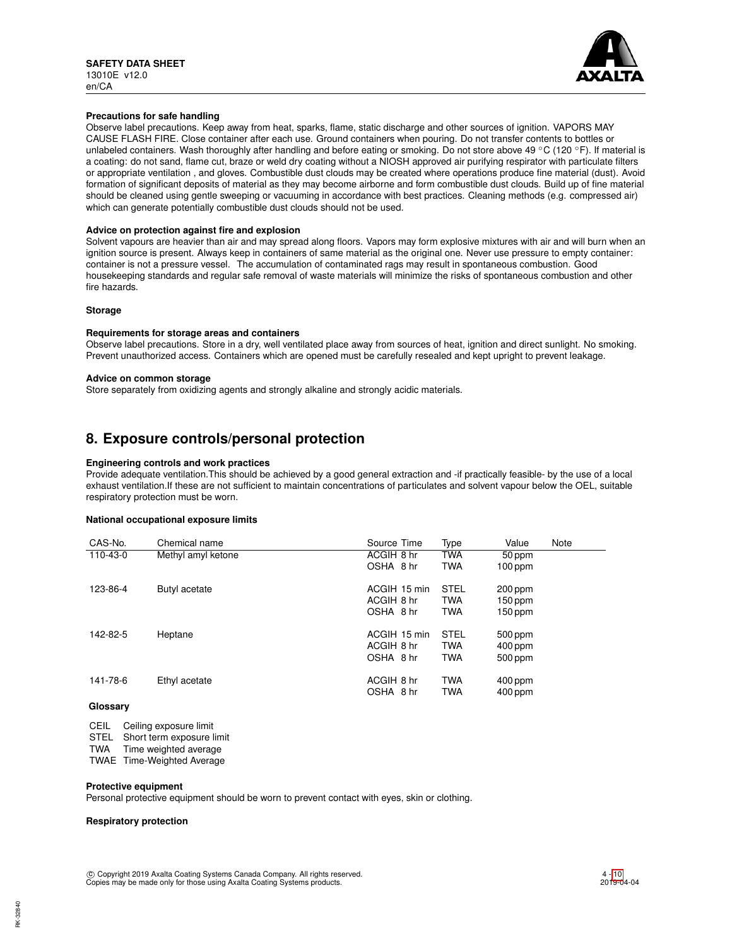

## **Precautions for safe handling**

Observe label precautions. Keep away from heat, sparks, flame, static discharge and other sources of ignition. VAPORS MAY CAUSE FLASH FIRE. Close container after each use. Ground containers when pouring. Do not transfer contents to bottles or unlabeled containers. Wash thoroughly after handling and before eating or smoking. Do not store above 49 °C (120 °F). If material is a coating: do not sand, flame cut, braze or weld dry coating without a NIOSH approved air purifying respirator with particulate filters or appropriate ventilation , and gloves. Combustible dust clouds may be created where operations produce fine material (dust). Avoid formation of significant deposits of material as they may become airborne and form combustible dust clouds. Build up of fine material should be cleaned using gentle sweeping or vacuuming in accordance with best practices. Cleaning methods (e.g. compressed air) which can generate potentially combustible dust clouds should not be used.

## **Advice on protection against fire and explosion**

Solvent vapours are heavier than air and may spread along floors. Vapors may form explosive mixtures with air and will burn when an ignition source is present. Always keep in containers of same material as the original one. Never use pressure to empty container: container is not a pressure vessel. The accumulation of contaminated rags may result in spontaneous combustion. Good housekeeping standards and regular safe removal of waste materials will minimize the risks of spontaneous combustion and other fire hazards.

## **Storage**

## **Requirements for storage areas and containers**

Observe label precautions. Store in a dry, well ventilated place away from sources of heat, ignition and direct sunlight. No smoking. Prevent unauthorized access. Containers which are opened must be carefully resealed and kept upright to prevent leakage.

### **Advice on common storage**

Store separately from oxidizing agents and strongly alkaline and strongly acidic materials.

## **8. Exposure controls/personal protection**

### **Engineering controls and work practices**

Provide adequate ventilation.This should be achieved by a good general extraction and -if practically feasible- by the use of a local exhaust ventilation.If these are not sufficient to maintain concentrations of particulates and solvent vapour below the OEL, suitable respiratory protection must be worn.

## **National occupational exposure limits**

| CAS-No.  | Chemical name      | Source Time  | Type        | Value     | Note |
|----------|--------------------|--------------|-------------|-----------|------|
| 110-43-0 | Methyl amyl ketone | ACGIH 8 hr   | <b>TWA</b>  | 50 ppm    |      |
|          |                    | OSHA 8 hr    | <b>TWA</b>  | $100$ ppm |      |
| 123-86-4 | Butyl acetate      | ACGIH 15 min | <b>STEL</b> | 200 ppm   |      |
|          |                    |              |             |           |      |
|          |                    | ACGIH 8 hr   | <b>TWA</b>  | 150 ppm   |      |
|          |                    | OSHA 8 hr    | <b>TWA</b>  | 150 ppm   |      |
| 142-82-5 | Heptane            | ACGIH 15 min | <b>STEL</b> | 500 ppm   |      |
|          |                    | ACGIH 8 hr   | <b>TWA</b>  | $400$ ppm |      |
|          |                    | OSHA 8 hr    | <b>TWA</b>  | 500 ppm   |      |
|          |                    |              |             |           |      |
| 141-78-6 | Ethyl acetate      | ACGIH 8 hr   | <b>TWA</b>  | $400$ ppm |      |
|          |                    | OSHA 8 hr    | <b>TWA</b>  | $400$ ppm |      |
| Glossary |                    |              |             |           |      |

- CEIL Ceiling exposure limit
- STEL Short term exposure limit
- TWA Time weighted average
- TWAE Time-Weighted Average

## **Protective equipment**

Personal protective equipment should be worn to prevent contact with eyes, skin or clothing.

## **Respiratory protection**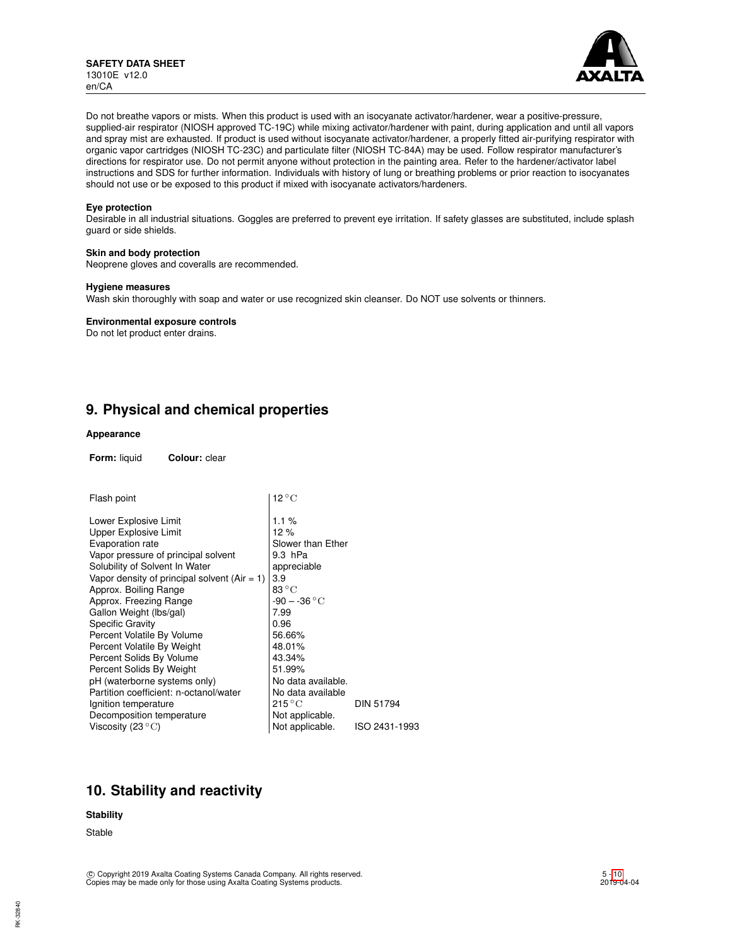

Do not breathe vapors or mists. When this product is used with an isocyanate activator/hardener, wear a positive-pressure, supplied-air respirator (NIOSH approved TC-19C) while mixing activator/hardener with paint, during application and until all vapors and spray mist are exhausted. If product is used without isocyanate activator/hardener, a properly fitted air-purifying respirator with organic vapor cartridges (NIOSH TC-23C) and particulate filter (NIOSH TC-84A) may be used. Follow respirator manufacturer's directions for respirator use. Do not permit anyone without protection in the painting area. Refer to the hardener/activator label instructions and SDS for further information. Individuals with history of lung or breathing problems or prior reaction to isocyanates should not use or be exposed to this product if mixed with isocyanate activators/hardeners.

### **Eye protection**

Desirable in all industrial situations. Goggles are preferred to prevent eye irritation. If safety glasses are substituted, include splash guard or side shields.

### **Skin and body protection**

Neoprene gloves and coveralls are recommended.

### **Hygiene measures**

Wash skin thoroughly with soap and water or use recognized skin cleanser. Do NOT use solvents or thinners.

## **Environmental exposure controls**

Do not let product enter drains.

## **9. Physical and chemical properties**

## **Appearance**

**Form:** liquid **Colour:** clear

| Flash point                                    | $12^{\circ}$ C            |                  |  |  |
|------------------------------------------------|---------------------------|------------------|--|--|
| Lower Explosive Limit                          | 1.1%                      |                  |  |  |
| <b>Upper Explosive Limit</b>                   | 12%                       |                  |  |  |
| Evaporation rate                               | Slower than Ether         |                  |  |  |
| Vapor pressure of principal solvent            | 9.3 hPa                   |                  |  |  |
| Solubility of Solvent In Water                 | appreciable               |                  |  |  |
| Vapor density of principal solvent $(Air = 1)$ | 3.9                       |                  |  |  |
| Approx. Boiling Range                          | 83 $\rm{^\circ C}$        |                  |  |  |
| Approx. Freezing Range                         | $-90 - -36 °C$            |                  |  |  |
| Gallon Weight (lbs/gal)                        | 7.99                      |                  |  |  |
| <b>Specific Gravity</b>                        | 0.96                      |                  |  |  |
| Percent Volatile By Volume                     | 56.66%                    |                  |  |  |
| Percent Volatile By Weight                     | 48.01%                    |                  |  |  |
| Percent Solids By Volume                       | 43.34%                    |                  |  |  |
| Percent Solids By Weight                       | 51.99%                    |                  |  |  |
| pH (waterborne systems only)                   | No data available.        |                  |  |  |
| Partition coefficient: n-octanol/water         | No data available         |                  |  |  |
| Ignition temperature                           | $215\,^{\circ}\mathrm{C}$ | <b>DIN 51794</b> |  |  |
| Decomposition temperature                      | Not applicable.           |                  |  |  |
| Viscosity (23 $\mathrm{^{\circ}C}$ )           | Not applicable.           | ISO 2431-1993    |  |  |

## **10. Stability and reactivity**

## **Stability**

Stable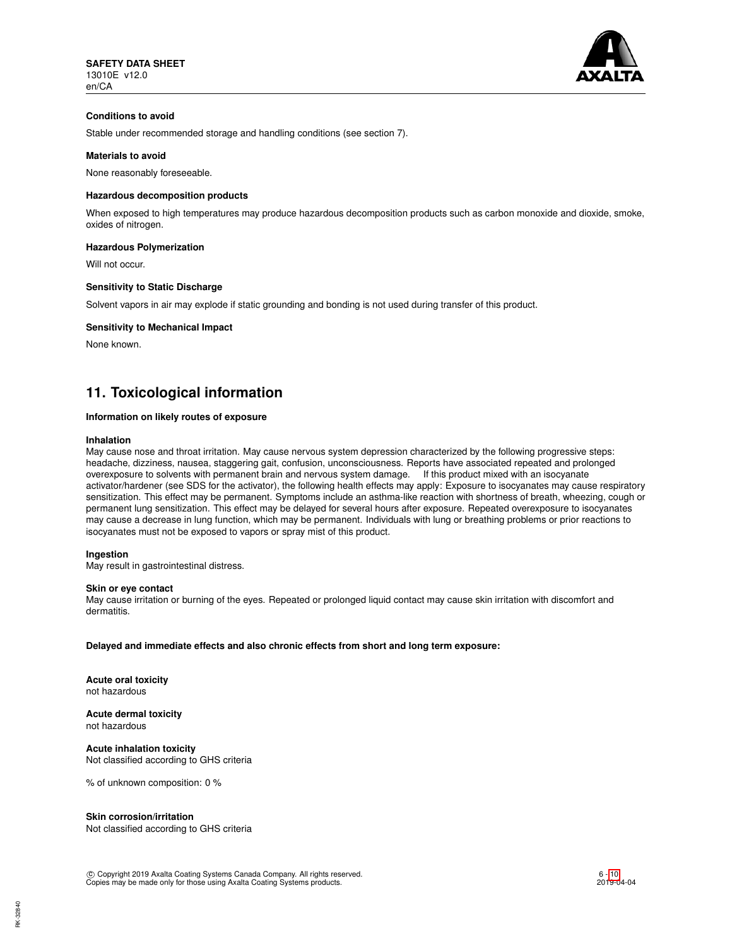

## **Conditions to avoid**

Stable under recommended storage and handling conditions (see section 7).

## **Materials to avoid**

None reasonably foreseeable.

## **Hazardous decomposition products**

When exposed to high temperatures may produce hazardous decomposition products such as carbon monoxide and dioxide, smoke, oxides of nitrogen.

## **Hazardous Polymerization**

Will not occur.

#### **Sensitivity to Static Discharge**

Solvent vapors in air may explode if static grounding and bonding is not used during transfer of this product.

### **Sensitivity to Mechanical Impact**

None known.

## **11. Toxicological information**

### **Information on likely routes of exposure**

#### **Inhalation**

May cause nose and throat irritation. May cause nervous system depression characterized by the following progressive steps: headache, dizziness, nausea, staggering gait, confusion, unconsciousness. Reports have associated repeated and prolonged overexposure to solvents with permanent brain and nervous system damage. If this product mixed with an isocyanate activator/hardener (see SDS for the activator), the following health effects may apply: Exposure to isocyanates may cause respiratory sensitization. This effect may be permanent. Symptoms include an asthma-like reaction with shortness of breath, wheezing, cough or permanent lung sensitization. This effect may be delayed for several hours after exposure. Repeated overexposure to isocyanates may cause a decrease in lung function, which may be permanent. Individuals with lung or breathing problems or prior reactions to isocyanates must not be exposed to vapors or spray mist of this product.

### **Ingestion**

May result in gastrointestinal distress.

### **Skin or eye contact**

May cause irritation or burning of the eyes. Repeated or prolonged liquid contact may cause skin irritation with discomfort and dermatitis.

**Delayed and immediate effects and also chronic effects from short and long term exposure:**

**Acute oral toxicity** not hazardous

**Acute dermal toxicity** not hazardous

**Acute inhalation toxicity** Not classified according to GHS criteria

% of unknown composition: 0 %

### **Skin corrosion/irritation**

Not classified according to GHS criteria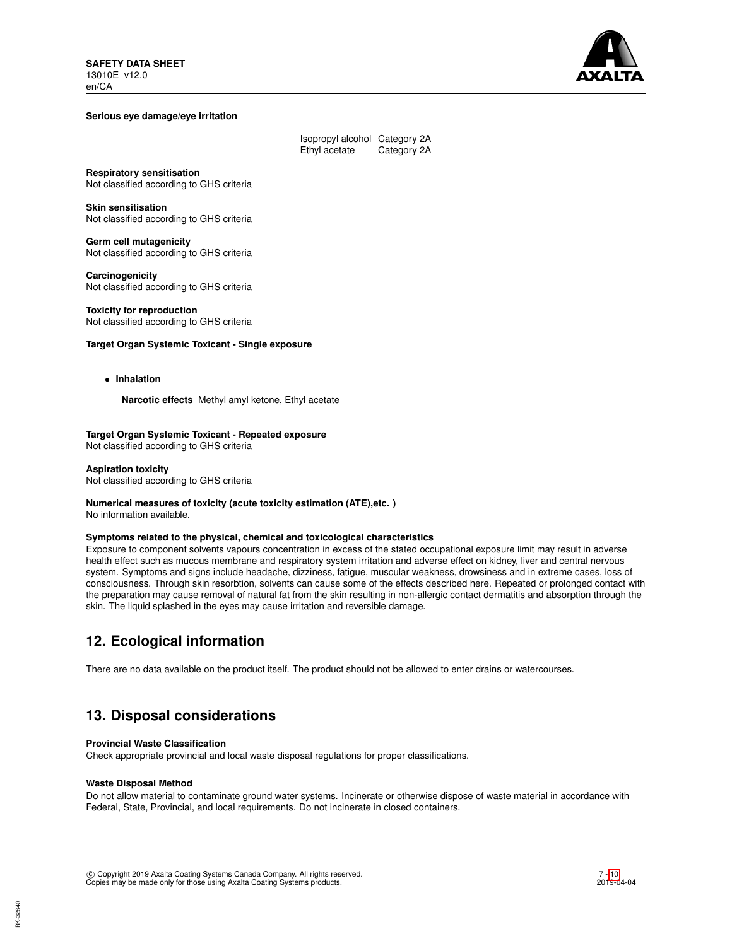

### **Serious eye damage/eye irritation**

| Isopropyl alcohol Category 2A |             |
|-------------------------------|-------------|
| Ethyl acetate                 | Category 2A |

**Respiratory sensitisation**

Not classified according to GHS criteria

**Skin sensitisation** Not classified according to GHS criteria

**Germ cell mutagenicity** Not classified according to GHS criteria

**Carcinogenicity** Not classified according to GHS criteria

**Toxicity for reproduction** Not classified according to GHS criteria

### **Target Organ Systemic Toxicant - Single exposure**

• **Inhalation**

**Narcotic effects** Methyl amyl ketone, Ethyl acetate

**Target Organ Systemic Toxicant - Repeated exposure** Not classified according to GHS criteria

**Aspiration toxicity** Not classified according to GHS criteria

#### **Numerical measures of toxicity (acute toxicity estimation (ATE),etc. )** No information available.

**Symptoms related to the physical, chemical and toxicological characteristics**

Exposure to component solvents vapours concentration in excess of the stated occupational exposure limit may result in adverse health effect such as mucous membrane and respiratory system irritation and adverse effect on kidney, liver and central nervous system. Symptoms and signs include headache, dizziness, fatigue, muscular weakness, drowsiness and in extreme cases, loss of consciousness. Through skin resorbtion, solvents can cause some of the effects described here. Repeated or prolonged contact with the preparation may cause removal of natural fat from the skin resulting in non-allergic contact dermatitis and absorption through the skin. The liquid splashed in the eyes may cause irritation and reversible damage.

## **12. Ecological information**

There are no data available on the product itself. The product should not be allowed to enter drains or watercourses.

## **13. Disposal considerations**

### **Provincial Waste Classification**

Check appropriate provincial and local waste disposal regulations for proper classifications.

### **Waste Disposal Method**

Do not allow material to contaminate ground water systems. Incinerate or otherwise dispose of waste material in accordance with Federal, State, Provincial, and local requirements. Do not incinerate in closed containers.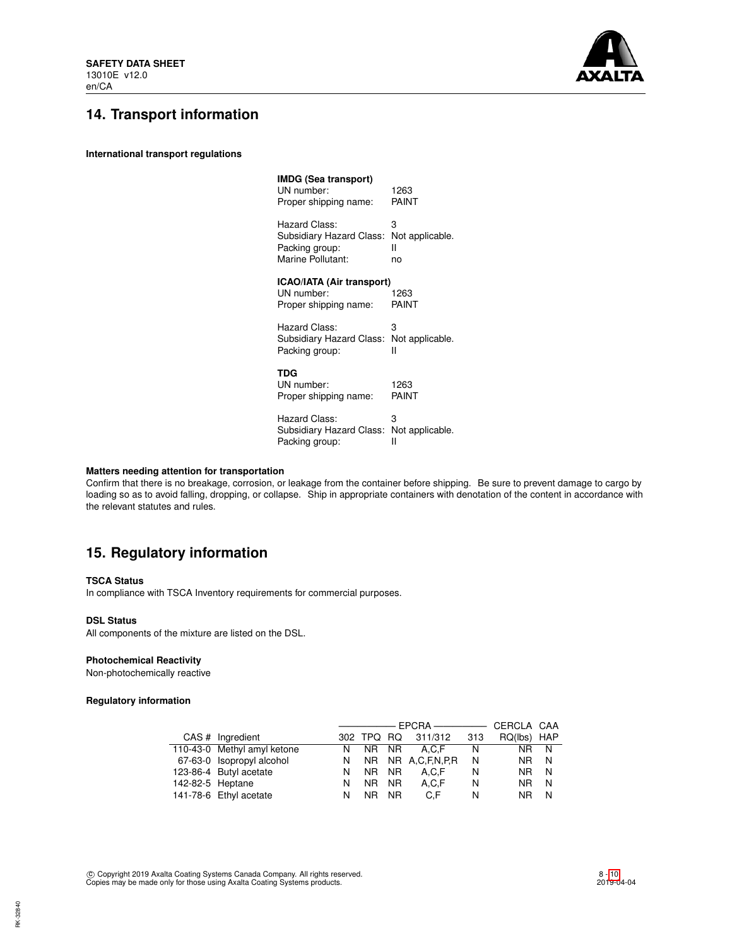

# **14. Transport information**

**International transport regulations**

| 1263<br>PAINT                                     |
|---------------------------------------------------|
| 3<br>Not applicable.<br>н<br>no                   |
| <b>ICAO/IATA (Air transport)</b><br>1263<br>PAINT |
| 3<br>Not applicable.<br>н                         |
| 1263<br>PAINT                                     |
| з<br>Not applicable.<br>Ш                         |
|                                                   |

## **Matters needing attention for transportation**

Confirm that there is no breakage, corrosion, or leakage from the container before shipping. Be sure to prevent damage to cargo by loading so as to avoid falling, dropping, or collapse. Ship in appropriate containers with denotation of the content in accordance with the relevant statutes and rules.

## **15. Regulatory information**

## **TSCA Status**

In compliance with TSCA Inventory requirements for commercial purposes.

### **DSL Status**

All components of the mixture are listed on the DSL.

## **Photochemical Reactivity**

Non-photochemically reactive

## **Regulatory information**

|                  |                             |   |            |     |                     |      | CERCLA CAA  |     |
|------------------|-----------------------------|---|------------|-----|---------------------|------|-------------|-----|
|                  | CAS # Ingredient            |   | 302 TPQ RQ |     | 311/312             | -313 | RQ(lbs) HAP |     |
|                  | 110-43-0 Methyl amyl ketone |   |            |     | N NR NR A.C.F       | N.   | NR N        |     |
|                  | 67-63-0 Isopropyl alcohol   |   |            |     | N NR NR A.C.F.N.P.R | N    | NR.         | - N |
|                  | 123-86-4 Butyl acetate      | N | NR NR      |     | A.C.F               | N    | NR.         | N.  |
| 142-82-5 Heptane |                             | N | NR NR      |     | A.C.F               | N    | NR.         | N   |
|                  | 141-78-6 Ethyl acetate      | N | NR I       | NR. | C.F                 | N    | NR.         | N   |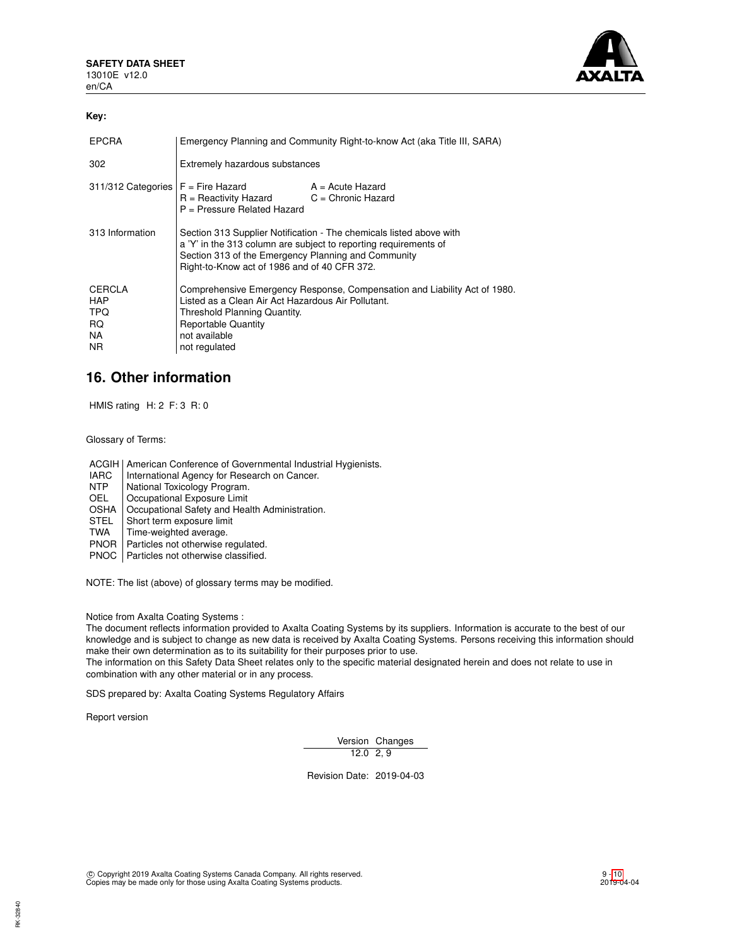

## **Key:**

| <b>EPCRA</b>                                           | Emergency Planning and Community Right-to-know Act (aka Title III, SARA)                                                                                                                                                                       |  |  |
|--------------------------------------------------------|------------------------------------------------------------------------------------------------------------------------------------------------------------------------------------------------------------------------------------------------|--|--|
| 302                                                    | Extremely hazardous substances                                                                                                                                                                                                                 |  |  |
|                                                        | $311/312$ Categories $F =$ Fire Hazard $A =$ Acute Hazard<br>$R =$ Reactivity Hazard $C =$ Chronic Hazard<br>P = Pressure Related Hazard                                                                                                       |  |  |
| 313 Information                                        | Section 313 Supplier Notification - The chemicals listed above with<br>a 'Y' in the 313 column are subject to reporting requirements of<br>Section 313 of the Emergency Planning and Community<br>Right-to-Know act of 1986 and of 40 CFR 372. |  |  |
| CERCLA<br><b>HAP</b><br>TPQ<br>RQ.<br>NA.<br><b>NR</b> | Comprehensive Emergency Response, Compensation and Liability Act of 1980.<br>Listed as a Clean Air Act Hazardous Air Pollutant.<br>Threshold Planning Quantity.<br><b>Reportable Quantity</b><br>not available<br>not regulated                |  |  |

## **16. Other information**

HMIS rating H: 2 F: 3 R: 0

Glossary of Terms:

ACGIH | American Conference of Governmental Industrial Hygienists.

- IARC | International Agency for Research on Cancer.<br>
NTP | National Toxicology Program.
- NTP National Toxicology Program.<br>OEL Cocupational Exposure Limit
- Occupational Exposure Limit
- OSHA | Occupational Safety and Health Administration.<br>STEL | Short term exposure limit
- STEL Short term exposure limit<br>TWA Time-weighted average.
- Time-weighted average.
- PNOR | Particles not otherwise regulated.

PNOC | Particles not otherwise classified.

NOTE: The list (above) of glossary terms may be modified.

Notice from Axalta Coating Systems :

The document reflects information provided to Axalta Coating Systems by its suppliers. Information is accurate to the best of our knowledge and is subject to change as new data is received by Axalta Coating Systems. Persons receiving this information should make their own determination as to its suitability for their purposes prior to use.

The information on this Safety Data Sheet relates only to the specific material designated herein and does not relate to use in combination with any other material or in any process.

SDS prepared by: Axalta Coating Systems Regulatory Affairs

Report version

Version Changes 12.0 2, 9

Revision Date: 2019-04-03